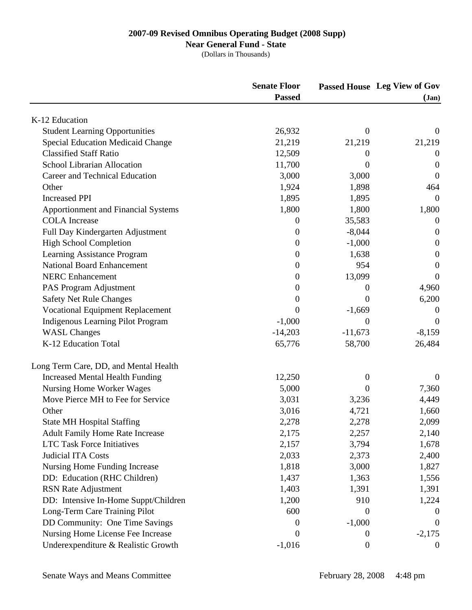## **Near General Fund - State**

|                                            | <b>Senate Floor</b> |                  | Passed House Leg View of Gov<br>$({\bf Jan})$ |
|--------------------------------------------|---------------------|------------------|-----------------------------------------------|
|                                            | <b>Passed</b>       |                  |                                               |
| K-12 Education                             |                     |                  |                                               |
| <b>Student Learning Opportunities</b>      | 26,932              | $\theta$         | $\theta$                                      |
| <b>Special Education Medicaid Change</b>   | 21,219              | 21,219           | 21,219                                        |
| <b>Classified Staff Ratio</b>              | 12,509              | $\theta$         | $\overline{0}$                                |
| <b>School Librarian Allocation</b>         | 11,700              | $\theta$         | $\overline{0}$                                |
| Career and Technical Education             | 3,000               | 3,000            | $\theta$                                      |
| Other                                      | 1,924               | 1,898            | 464                                           |
| <b>Increased PPI</b>                       | 1,895               | 1,895            | $\theta$                                      |
| <b>Apportionment and Financial Systems</b> | 1,800               | 1,800            | 1,800                                         |
| <b>COLA</b> Increase                       | $\overline{0}$      | 35,583           | $\boldsymbol{0}$                              |
| Full Day Kindergarten Adjustment           | $\boldsymbol{0}$    | $-8,044$         | $\theta$                                      |
| <b>High School Completion</b>              | $\overline{0}$      | $-1,000$         | $\boldsymbol{0}$                              |
| Learning Assistance Program                | $\boldsymbol{0}$    | 1,638            | $\theta$                                      |
| <b>National Board Enhancement</b>          | $\boldsymbol{0}$    | 954              | $\theta$                                      |
| <b>NERC</b> Enhancement                    | $\boldsymbol{0}$    | 13,099           | $\overline{0}$                                |
| PAS Program Adjustment                     | 0                   | $\boldsymbol{0}$ | 4,960                                         |
| <b>Safety Net Rule Changes</b>             | 0                   | $\theta$         | 6,200                                         |
| <b>Vocational Equipment Replacement</b>    | $\Omega$            | $-1,669$         | $\overline{0}$                                |
| <b>Indigenous Learning Pilot Program</b>   | $-1,000$            | $\boldsymbol{0}$ | $\overline{0}$                                |
| <b>WASL Changes</b>                        | $-14,203$           | $-11,673$        | $-8,159$                                      |
| K-12 Education Total                       | 65,776              | 58,700           | 26,484                                        |
| Long Term Care, DD, and Mental Health      |                     |                  |                                               |
| <b>Increased Mental Health Funding</b>     | 12,250              | $\boldsymbol{0}$ | $\mathbf{0}$                                  |
| Nursing Home Worker Wages                  | 5,000               | $\boldsymbol{0}$ | 7,360                                         |
| Move Pierce MH to Fee for Service          | 3,031               | 3,236            | 4,449                                         |
| Other                                      | 3,016               | 4,721            | 1,660                                         |
| <b>State MH Hospital Staffing</b>          | 2,278               | 2,278            | 2,099                                         |
| <b>Adult Family Home Rate Increase</b>     | 2,175               | 2,257            | 2,140                                         |
| <b>LTC Task Force Initiatives</b>          | 2,157               | 3,794            | 1,678                                         |
| Judicial ITA Costs                         | 2,033               | 2,373            | 2,400                                         |
| <b>Nursing Home Funding Increase</b>       | 1,818               | 3,000            | 1,827                                         |
| DD: Education (RHC Children)               | 1,437               | 1,363            | 1,556                                         |
| <b>RSN</b> Rate Adjustment                 | 1,403               | 1,391            | 1,391                                         |
| DD: Intensive In-Home Suppt/Children       | 1,200               | 910              | 1,224                                         |
| Long-Term Care Training Pilot              | 600                 | $\boldsymbol{0}$ | $\theta$                                      |
| DD Community: One Time Savings             | 0                   | $-1,000$         | $\overline{0}$                                |
| Nursing Home License Fee Increase          | $\theta$            | $\boldsymbol{0}$ | $-2,175$                                      |
| Underexpenditure & Realistic Growth        | $-1,016$            | $\boldsymbol{0}$ | $\overline{0}$                                |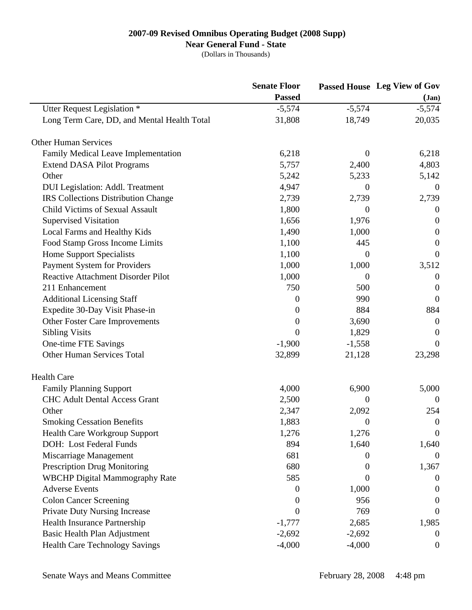## **Near General Fund - State**

|                                             | <b>Senate Floor</b><br><b>Passed</b> |                | Passed House Leg View of Gov |
|---------------------------------------------|--------------------------------------|----------------|------------------------------|
|                                             |                                      | $({\bf Jan})$  |                              |
| Utter Request Legislation *                 | $-5,574$                             | $-5,574$       | $-5,574$                     |
| Long Term Care, DD, and Mental Health Total | 31,808                               | 18,749         | 20,035                       |
| <b>Other Human Services</b>                 |                                      |                |                              |
| Family Medical Leave Implementation         | 6,218                                | $\overline{0}$ | 6,218                        |
| <b>Extend DASA Pilot Programs</b>           | 5,757                                | 2,400          | 4,803                        |
| Other                                       | 5,242                                | 5,233          | 5,142                        |
| <b>DUI</b> Legislation: Addl. Treatment     | 4,947                                | 0              | $\theta$                     |
| <b>IRS</b> Collections Distribution Change  | 2,739                                | 2,739          | 2,739                        |
| <b>Child Victims of Sexual Assault</b>      | 1,800                                | 0              | $\overline{0}$               |
| <b>Supervised Visitation</b>                | 1,656                                | 1,976          | $\boldsymbol{0}$             |
| Local Farms and Healthy Kids                | 1,490                                | 1,000          | $\boldsymbol{0}$             |
| Food Stamp Gross Income Limits              | 1,100                                | 445            | $\overline{0}$               |
| <b>Home Support Specialists</b>             | 1,100                                | 0              | $\overline{0}$               |
| <b>Payment System for Providers</b>         | 1,000                                | 1,000          | 3,512                        |
| <b>Reactive Attachment Disorder Pilot</b>   | 1,000                                | 0              | $\boldsymbol{0}$             |
| 211 Enhancement                             | 750                                  | 500            | $\boldsymbol{0}$             |
| <b>Additional Licensing Staff</b>           | $\boldsymbol{0}$                     | 990            | $\overline{0}$               |
| Expedite 30-Day Visit Phase-in              | $\overline{0}$                       | 884            | 884                          |
| Other Foster Care Improvements              | $\boldsymbol{0}$                     | 3,690          | $\boldsymbol{0}$             |
| <b>Sibling Visits</b>                       | $\overline{0}$                       | 1,829          | $\overline{0}$               |
| One-time FTE Savings                        | $-1,900$                             | $-1,558$       | $\overline{0}$               |
| <b>Other Human Services Total</b>           | 32,899                               | 21,128         | 23,298                       |
| <b>Health Care</b>                          |                                      |                |                              |
| <b>Family Planning Support</b>              | 4,000                                | 6,900          | 5,000                        |
| <b>CHC Adult Dental Access Grant</b>        | 2,500                                | 0              | $\theta$                     |
| Other                                       | 2,347                                | 2,092          | 254                          |
| <b>Smoking Cessation Benefits</b>           | 1,883                                | 0              | $\boldsymbol{0}$             |
| <b>Health Care Workgroup Support</b>        | 1,276                                | 1,276          | $\boldsymbol{0}$             |
| DOH: Lost Federal Funds                     | 894                                  | 1,640          | 1,640                        |
| Miscarriage Management                      | 681                                  | 0              | $\theta$                     |
| <b>Prescription Drug Monitoring</b>         | 680                                  | $\theta$       | 1,367                        |
| <b>WBCHP Digital Mammography Rate</b>       | 585                                  | $\theta$       | $\theta$                     |
| <b>Adverse Events</b>                       | $\overline{0}$                       | 1,000          | $\theta$                     |
| <b>Colon Cancer Screening</b>               | $\theta$                             | 956            | $\theta$                     |
| <b>Private Duty Nursing Increase</b>        | $\boldsymbol{0}$                     | 769            | $\theta$                     |
| <b>Health Insurance Partnership</b>         | $-1,777$                             | 2,685          | 1,985                        |
| Basic Health Plan Adjustment                | $-2,692$                             | $-2,692$       | $\theta$                     |
| <b>Health Care Technology Savings</b>       | $-4,000$                             | $-4,000$       | $\boldsymbol{0}$             |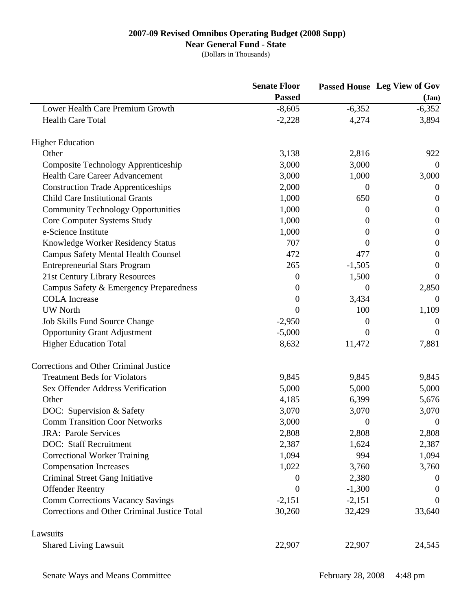# **Near General Fund - State**

|                                              | <b>Senate Floor</b> |                  | <b>Passed House</b> Leg View of Gov<br>$Jan$ |
|----------------------------------------------|---------------------|------------------|----------------------------------------------|
|                                              | <b>Passed</b>       |                  |                                              |
| Lower Health Care Premium Growth             | $-8,605$            | $-6,352$         | $-6,352$                                     |
| <b>Health Care Total</b>                     | $-2,228$            | 4,274            | 3,894                                        |
| <b>Higher Education</b>                      |                     |                  |                                              |
| Other                                        | 3,138               | 2,816            | 922                                          |
| <b>Composite Technology Apprenticeship</b>   | 3,000               | 3,000            | $\theta$                                     |
| <b>Health Care Career Advancement</b>        | 3,000               | 1,000            | 3,000                                        |
| <b>Construction Trade Apprenticeships</b>    | 2,000               | $\boldsymbol{0}$ | $\theta$                                     |
| <b>Child Care Institutional Grants</b>       | 1,000               | 650              | $\overline{0}$                               |
| <b>Community Technology Opportunities</b>    | 1,000               | $\boldsymbol{0}$ | $\boldsymbol{0}$                             |
| Core Computer Systems Study                  | 1,000               | $\boldsymbol{0}$ | $\overline{0}$                               |
| e-Science Institute                          | 1,000               | $\theta$         | $\overline{0}$                               |
| Knowledge Worker Residency Status            | 707                 | $\theta$         | $\boldsymbol{0}$                             |
| <b>Campus Safety Mental Health Counsel</b>   | 472                 | 477              | $\boldsymbol{0}$                             |
| <b>Entrepreneurial Stars Program</b>         | 265                 | $-1,505$         | $\boldsymbol{0}$                             |
| 21st Century Library Resources               | 0                   | 1,500            | $\theta$                                     |
| Campus Safety & Emergency Preparedness       | $\theta$            | $\boldsymbol{0}$ | 2,850                                        |
| <b>COLA</b> Increase                         | 0                   | 3,434            | $\theta$                                     |
| <b>UW North</b>                              | $\Omega$            | 100              | 1,109                                        |
| Job Skills Fund Source Change                | $-2,950$            | $\boldsymbol{0}$ | $\boldsymbol{0}$                             |
| <b>Opportunity Grant Adjustment</b>          | $-5,000$            | $\theta$         | $\theta$                                     |
| <b>Higher Education Total</b>                | 8,632               | 11,472           | 7,881                                        |
| Corrections and Other Criminal Justice       |                     |                  |                                              |
| <b>Treatment Beds for Violators</b>          | 9,845               | 9,845            | 9,845                                        |
| Sex Offender Address Verification            | 5,000               | 5,000            | 5,000                                        |
| Other                                        | 4,185               | 6,399            | 5,676                                        |
| DOC: Supervision & Safety                    | 3,070               | 3,070            | 3,070                                        |
| <b>Comm Transition Coor Networks</b>         | 3,000               | $\boldsymbol{0}$ | $\boldsymbol{0}$                             |
| <b>JRA: Parole Services</b>                  | 2,808               | 2,808            | 2,808                                        |
| <b>DOC: Staff Recruitment</b>                | 2,387               | 1,624            | 2,387                                        |
| <b>Correctional Worker Training</b>          | 1,094               | 994              | 1,094                                        |
| <b>Compensation Increases</b>                | 1,022               | 3,760            | 3,760                                        |
| Criminal Street Gang Initiative              | $\theta$            | 2,380            | $\theta$                                     |
| <b>Offender Reentry</b>                      | 0                   | $-1,300$         | $\overline{0}$                               |
| <b>Comm Corrections Vacancy Savings</b>      | $-2,151$            | $-2,151$         | $\theta$                                     |
| Corrections and Other Criminal Justice Total | 30,260              | 32,429           | 33,640                                       |
| Lawsuits                                     |                     |                  |                                              |
| <b>Shared Living Lawsuit</b>                 | 22,907              | 22,907           | 24,545                                       |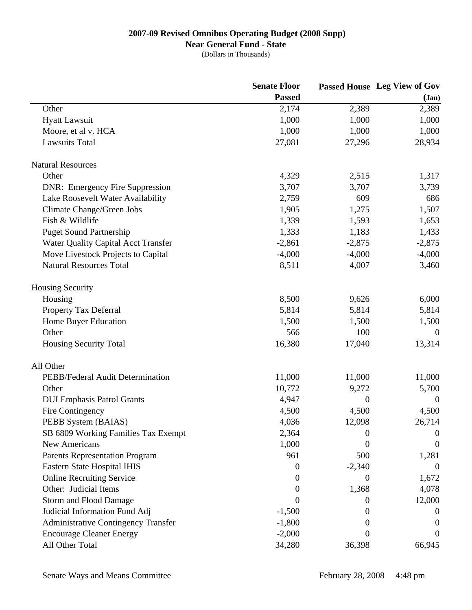# **Near General Fund - State**

|                                            | <b>Senate Floor</b> |                  | Passed House Leg View of Gov<br>$({\bf Jan})$ |
|--------------------------------------------|---------------------|------------------|-----------------------------------------------|
|                                            | <b>Passed</b>       |                  |                                               |
| Other                                      | 2,174               | 2,389            | 2,389                                         |
| <b>Hyatt Lawsuit</b>                       | 1,000               | 1,000            | 1,000                                         |
| Moore, et al v. HCA                        | 1,000               | 1,000            | 1,000                                         |
| <b>Lawsuits Total</b>                      | 27,081              | 27,296           | 28,934                                        |
| <b>Natural Resources</b>                   |                     |                  |                                               |
| Other                                      | 4,329               | 2,515            | 1,317                                         |
| <b>DNR: Emergency Fire Suppression</b>     | 3,707               | 3,707            | 3,739                                         |
| Lake Roosevelt Water Availability          | 2,759               | 609              | 686                                           |
| Climate Change/Green Jobs                  | 1,905               | 1,275            | 1,507                                         |
| Fish & Wildlife                            | 1,339               | 1,593            | 1,653                                         |
| <b>Puget Sound Partnership</b>             | 1,333               | 1,183            | 1,433                                         |
| <b>Water Quality Capital Acct Transfer</b> | $-2,861$            | $-2,875$         | $-2,875$                                      |
| Move Livestock Projects to Capital         | $-4,000$            | $-4,000$         | $-4,000$                                      |
| <b>Natural Resources Total</b>             | 8,511               | 4,007            | 3,460                                         |
| <b>Housing Security</b>                    |                     |                  |                                               |
| Housing                                    | 8,500               | 9,626            | 6,000                                         |
| Property Tax Deferral                      | 5,814               | 5,814            | 5,814                                         |
| Home Buyer Education                       | 1,500               | 1,500            | 1,500                                         |
| Other                                      | 566                 | 100              | $\overline{0}$                                |
| <b>Housing Security Total</b>              | 16,380              | 17,040           | 13,314                                        |
| All Other                                  |                     |                  |                                               |
| PEBB/Federal Audit Determination           | 11,000              | 11,000           | 11,000                                        |
| Other                                      | 10,772              | 9,272            | 5,700                                         |
| <b>DUI Emphasis Patrol Grants</b>          | 4,947               | $\boldsymbol{0}$ | $\theta$                                      |
| Fire Contingency                           | 4,500               | 4,500            | 4,500                                         |
| PEBB System (BAIAS)                        | 4,036               | 12,098           | 26,714                                        |
| SB 6809 Working Families Tax Exempt        | 2,364               | 0                | $\boldsymbol{0}$                              |
| New Americans                              | 1,000               | 0                | $\theta$                                      |
| <b>Parents Representation Program</b>      | 961                 | 500              | 1,281                                         |
| Eastern State Hospital IHIS                | $\theta$            | $-2,340$         | $\overline{0}$                                |
| <b>Online Recruiting Service</b>           | $\theta$            | 0                | 1,672                                         |
| Other: Judicial Items                      | 0                   | 1,368            | 4,078                                         |
| <b>Storm and Flood Damage</b>              | $\theta$            | $\theta$         | 12,000                                        |
| Judicial Information Fund Adj              | $-1,500$            | $\theta$         | $\theta$                                      |
| <b>Administrative Contingency Transfer</b> | $-1,800$            | $\theta$         |                                               |
| <b>Encourage Cleaner Energy</b>            | $-2,000$            | $\theta$         | $\theta$                                      |
| All Other Total                            | 34,280              | 36,398           | 66,945                                        |